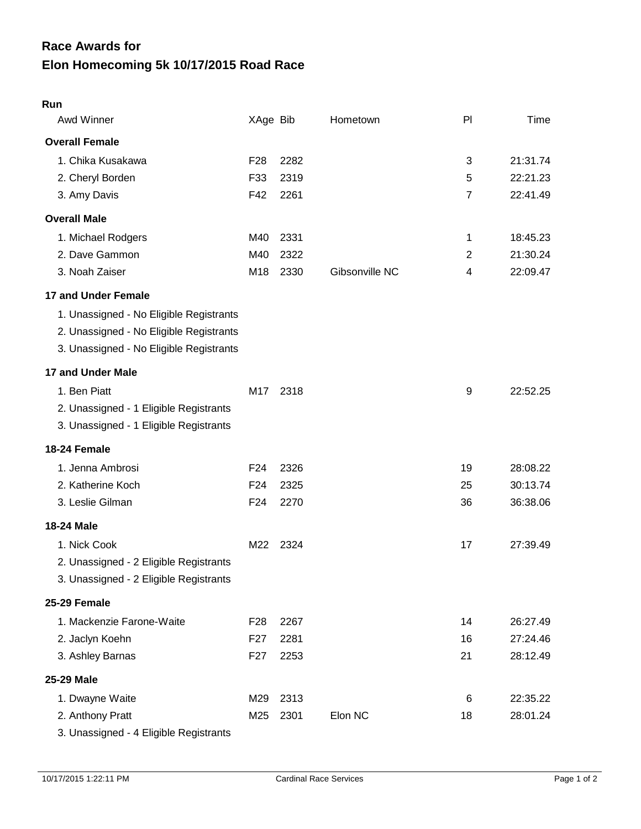## **Elon Homecoming 5k 10/17/2015 Road Race Race Awards for**

| Run                                     |                 |      |                |                |          |
|-----------------------------------------|-----------------|------|----------------|----------------|----------|
| Awd Winner                              | XAge Bib        |      | Hometown       | PI             | Time     |
| <b>Overall Female</b>                   |                 |      |                |                |          |
| 1. Chika Kusakawa                       | F <sub>28</sub> | 2282 |                | 3              | 21:31.74 |
| 2. Cheryl Borden                        | F33             | 2319 |                | 5              | 22:21.23 |
| 3. Amy Davis                            | F42             | 2261 |                | $\overline{7}$ | 22:41.49 |
| <b>Overall Male</b>                     |                 |      |                |                |          |
| 1. Michael Rodgers                      | M40             | 2331 |                | 1              | 18:45.23 |
| 2. Dave Gammon                          | M40             | 2322 |                | 2              | 21:30.24 |
| 3. Noah Zaiser                          | M <sub>18</sub> | 2330 | Gibsonville NC | 4              | 22:09.47 |
| 17 and Under Female                     |                 |      |                |                |          |
| 1. Unassigned - No Eligible Registrants |                 |      |                |                |          |
| 2. Unassigned - No Eligible Registrants |                 |      |                |                |          |
| 3. Unassigned - No Eligible Registrants |                 |      |                |                |          |
| 17 and Under Male                       |                 |      |                |                |          |
| 1. Ben Piatt                            | M17             | 2318 |                | 9              | 22:52.25 |
| 2. Unassigned - 1 Eligible Registrants  |                 |      |                |                |          |
| 3. Unassigned - 1 Eligible Registrants  |                 |      |                |                |          |
| 18-24 Female                            |                 |      |                |                |          |
| 1. Jenna Ambrosi                        | F <sub>24</sub> | 2326 |                | 19             | 28:08.22 |
| 2. Katherine Koch                       | F <sub>24</sub> | 2325 |                | 25             | 30:13.74 |
| 3. Leslie Gilman                        | F <sub>24</sub> | 2270 |                | 36             | 36:38.06 |
| <b>18-24 Male</b>                       |                 |      |                |                |          |
| 1. Nick Cook                            | M22             | 2324 |                | 17             | 27:39.49 |
| 2. Unassigned - 2 Eligible Registrants  |                 |      |                |                |          |
| 3. Unassigned - 2 Eligible Registrants  |                 |      |                |                |          |
| 25-29 Female                            |                 |      |                |                |          |
| 1. Mackenzie Farone-Waite               | F <sub>28</sub> | 2267 |                | 14             | 26:27.49 |
| 2. Jaclyn Koehn                         | F27             | 2281 |                | 16             | 27:24.46 |
| 3. Ashley Barnas                        | F <sub>27</sub> | 2253 |                | 21             | 28:12.49 |
| <b>25-29 Male</b>                       |                 |      |                |                |          |
| 1. Dwayne Waite                         | M29             | 2313 |                | 6              | 22:35.22 |
| 2. Anthony Pratt                        | M25             | 2301 | Elon NC        | 18             | 28:01.24 |
| 3. Unassigned - 4 Eligible Registrants  |                 |      |                |                |          |